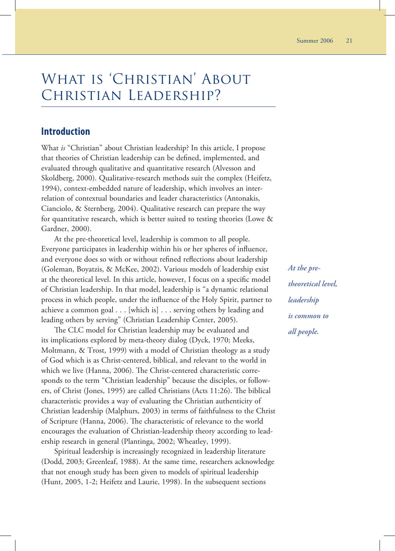# What is 'Christian' About Christian Leadership?

#### **Introduction**

What *is* "Christian" about Christian leadership? In this article, I propose that theories of Christian leadership can be defined, implemented, and evaluated through qualitative and quantitative research (Alvesson and Skoldberg, 2000). Qualitative-research methods suit the complex (Heifetz, 1994), context-embedded nature of leadership, which involves an interrelation of contextual boundaries and leader characteristics (Antonakis, Cianciolo, & Sternberg, 2004). Qualitative research can prepare the way for quantitative research, which is better suited to testing theories (Lowe & Gardner, 2000).

At the pre-theoretical level, leadership is common to all people. Everyone participates in leadership within his or her spheres of influence, and everyone does so with or without refined reflections about leadership (Goleman, Boyatzis, & McKee, 2002). Various models of leadership exist at the theoretical level. In this article, however, I focus on a specific model of Christian leadership. In that model, leadership is "a dynamic relational process in which people, under the influence of the Holy Spirit, partner to achieve a common goal . . . [which is] . . . serving others by leading and leading others by serving" (Christian Leadership Center, 2005).

The CLC model for Christian leadership may be evaluated and its implications explored by meta-theory dialog (Dyck, 1970; Meeks, Moltmann, & Trost, 1999) with a model of Christian theology as a study of God which is as Christ-centered, biblical, and relevant to the world in which we live (Hanna, 2006). The Christ-centered characteristic corresponds to the term "Christian leadership" because the disciples, or followers, of Christ (Jones, 1995) are called Christians (Acts 11:26). The biblical characteristic provides a way of evaluating the Christian authenticity of Christian leadership (Malphurs, 2003) in terms of faithfulness to the Christ of Scripture (Hanna, 2006). The characteristic of relevance to the world encourages the evaluation of Christian-leadership theory according to leadership research in general (Plantinga, 2002; Wheatley, 1999).

Spiritual leadership is increasingly recognized in leadership literature (Dodd, 2003; Greenleaf, 1988). At the same time, researchers acknowledge that not enough study has been given to models of spiritual leadership (Hunt, 2005, 1-2; Heifetz and Laurie, 1998). In the subsequent sections

*At the pretheoretical level, leadership is common to all people.*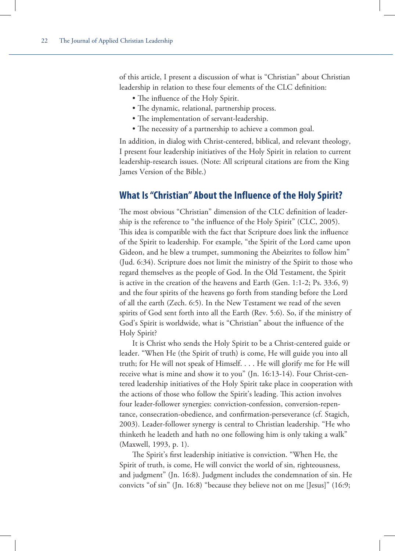of this article, I present a discussion of what is "Christian" about Christian leadership in relation to these four elements of the CLC definition:

- The influence of the Holy Spirit.
- The dynamic, relational, partnership process.
- The implementation of servant-leadership.
- The necessity of a partnership to achieve a common goal.

In addition, in dialog with Christ-centered, biblical, and relevant theology, I present four leadership initiatives of the Holy Spirit in relation to current leadership-research issues. (Note: All scriptural citations are from the King James Version of the Bible.)

#### **What Is "Christian" About the Influence of the Holy Spirit?**

The most obvious "Christian" dimension of the CLC definition of leadership is the reference to "the influence of the Holy Spirit" (CLC, 2005). This idea is compatible with the fact that Scripture does link the influence of the Spirit to leadership. For example, "the Spirit of the Lord came upon Gideon, and he blew a trumpet, summoning the Abeizrites to follow him" (Jud. 6:34). Scripture does not limit the ministry of the Spirit to those who regard themselves as the people of God. In the Old Testament, the Spirit is active in the creation of the heavens and Earth (Gen. 1:1-2; Ps. 33:6, 9) and the four spirits of the heavens go forth from standing before the Lord of all the earth (Zech. 6:5). In the New Testament we read of the seven spirits of God sent forth into all the Earth (Rev. 5:6). So, if the ministry of God's Spirit is worldwide, what is "Christian" about the influence of the Holy Spirit?

It is Christ who sends the Holy Spirit to be a Christ-centered guide or leader. "When He (the Spirit of truth) is come, He will guide you into all truth; for He will not speak of Himself. . . . He will glorify me for He will receive what is mine and show it to you" (Jn. 16:13-14). Four Christ-centered leadership initiatives of the Holy Spirit take place in cooperation with the actions of those who follow the Spirit's leading. This action involves four leader-follower synergies: conviction-confession, conversion-repentance, consecration-obedience, and confirmation-perseverance (cf. Stagich, 2003). Leader-follower synergy is central to Christian leadership. "He who thinketh he leadeth and hath no one following him is only taking a walk" (Maxwell, 1993, p. 1).

The Spirit's first leadership initiative is conviction. "When He, the Spirit of truth, is come, He will convict the world of sin, righteousness, and judgment" (Jn. 16:8). Judgment includes the condemnation of sin. He convicts "of sin" (Jn. 16:8) "because they believe not on me [Jesus]" (16:9;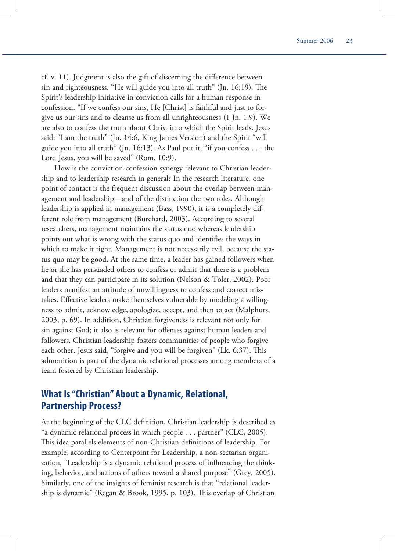cf. v. 11). Judgment is also the gift of discerning the difference between sin and righteousness. "He will guide you into all truth" (Jn.  $16:19$ ). The Spirit's leadership initiative in conviction calls for a human response in confession. "If we confess our sins, He [Christ] is faithful and just to forgive us our sins and to cleanse us from all unrighteousness (1 Jn. 1:9). We are also to confess the truth about Christ into which the Spirit leads. Jesus said: "I am the truth" (Jn. 14:6, King James Version) and the Spirit "will guide you into all truth" (Jn. 16:13). As Paul put it, "if you confess  $\dots$  the Lord Jesus, you will be saved" (Rom. 10:9).

How is the conviction-confession synergy relevant to Christian leadership and to leadership research in general? In the research literature, one point of contact is the frequent discussion about the overlap between management and leadership—and of the distinction the two roles. Although leadership is applied in management (Bass, 1990), it is a completely different role from management (Burchard, 2003). According to several researchers, management maintains the status quo whereas leadership points out what is wrong with the status quo and identifies the ways in which to make it right. Management is not necessarily evil, because the status quo may be good. At the same time, a leader has gained followers when he or she has persuaded others to confess or admit that there is a problem and that they can participate in its solution (Nelson & Toler, 2002). Poor leaders manifest an attitude of unwillingness to confess and correct mistakes. Effective leaders make themselves vulnerable by modeling a willingness to admit, acknowledge, apologize, accept, and then to act (Malphurs, 2003, p. 69). In addition, Christian forgiveness is relevant not only for sin against God; it also is relevant for offenses against human leaders and followers. Christian leadership fosters communities of people who forgive each other. Jesus said, "forgive and you will be forgiven" (Lk. 6:37). This admonition is part of the dynamic relational processes among members of a team fostered by Christian leadership.

# **What Is "Christian" About a Dynamic, Relational, Partnership Process?**

At the beginning of the CLC definition, Christian leadership is described as "a dynamic relational process in which people . . . partner" (CLC, 2005). This idea parallels elements of non-Christian definitions of leadership. For example, according to Centerpoint for Leadership, a non-sectarian organization, "Leadership is a dynamic relational process of influencing the thinking, behavior, and actions of others toward a shared purpose" (Grey, 2005). Similarly, one of the insights of feminist research is that "relational leadership is dynamic" (Regan & Brook, 1995, p. 103). This overlap of Christian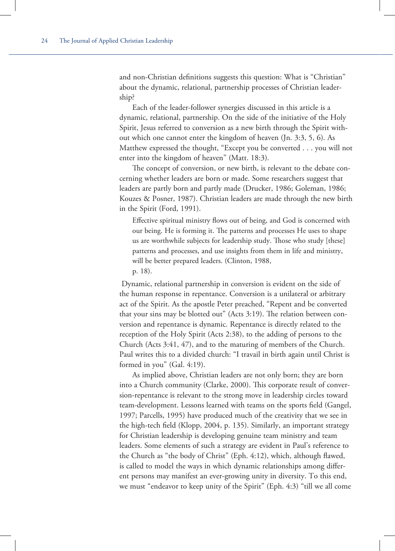and non-Christian definitions suggests this question: What is "Christian" about the dynamic, relational, partnership processes of Christian leadership?

Each of the leader-follower synergies discussed in this article is a dynamic, relational, partnership. On the side of the initiative of the Holy Spirit, Jesus referred to conversion as a new birth through the Spirit without which one cannot enter the kingdom of heaven (Jn. 3:3, 5, 6). As Matthew expressed the thought, "Except you be converted . . . you will not enter into the kingdom of heaven" (Matt. 18:3).

The concept of conversion, or new birth, is relevant to the debate concerning whether leaders are born or made. Some researchers suggest that leaders are partly born and partly made (Drucker, 1986; Goleman, 1986; Kouzes & Posner, 1987). Christian leaders are made through the new birth in the Spirit (Ford, 1991).

Effective spiritual ministry flows out of being, and God is concerned with our being. He is forming it. The patterns and processes He uses to shape us are worthwhile subjects for leadership study. Those who study [these] patterns and processes, and use insights from them in life and ministry, will be better prepared leaders. (Clinton, 1988,

p. 18).

 Dynamic, relational partnership in conversion is evident on the side of the human response in repentance. Conversion is a unilateral or arbitrary act of the Spirit. As the apostle Peter preached, "Repent and be converted that your sins may be blotted out" (Acts 3:19). The relation between conversion and repentance is dynamic. Repentance is directly related to the reception of the Holy Spirit (Acts 2:38), to the adding of persons to the Church (Acts 3:41, 47), and to the maturing of members of the Church. Paul writes this to a divided church: "I travail in birth again until Christ is formed in you" (Gal. 4:19).

As implied above, Christian leaders are not only born; they are born into a Church community (Clarke, 2000). This corporate result of conversion-repentance is relevant to the strong move in leadership circles toward team-development. Lessons learned with teams on the sports field (Gangel, 1997; Parcells, 1995) have produced much of the creativity that we see in the high-tech field (Klopp, 2004, p. 135). Similarly, an important strategy for Christian leadership is developing genuine team ministry and team leaders. Some elements of such a strategy are evident in Paul's reference to the Church as "the body of Christ" (Eph. 4:12), which, although flawed, is called to model the ways in which dynamic relationships among different persons may manifest an ever-growing unity in diversity. To this end, we must "endeavor to keep unity of the Spirit" (Eph. 4:3) "till we all come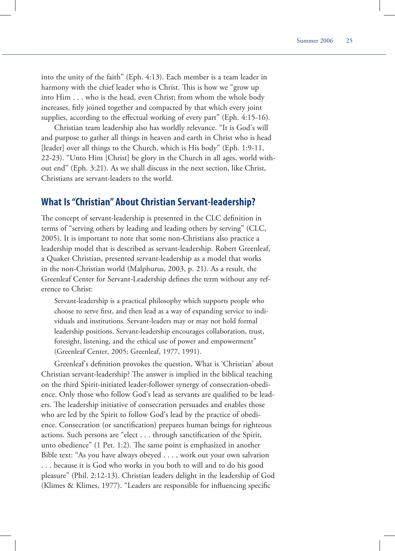into the unity of the faith" (Eph. 4:13). Each member is a team leader in harmony with the chief leader who is Christ. This is how we "grow up into Him . . . who is the head, even Christ; from whom the whole body increases, fitly joined together and compacted by that which every joint supplies, according to the effectual working of every part" (Eph. 4:15-16).

Christian team leadership also has worldly relevance. "It is God's will and purpose to gather all things in heaven and earth in Christ who is head [leader] over all things to the Church, which is His body" (Eph. 1:9-11, 22-23). "Unto Him [Christ] be glory in the Church in all ages, world without end" (Eph. 3:21). As we shall discuss in the next section, like Christ, Christians are servant-leaders to the world.

#### **What Is "Christian" About Christian Servant-leadership?**

The concept of servant-leadership is presented in the CLC definition in terms of "serving others by leading and leading others by serving" (CLC, 2005). It is important to note that some non-Christians also practice a leadership model that is described as servant-leadership. Robert Greenleaf, a Quaker Christian, presented servant-leadership as a model that works in the non-Christian world (Malphurus, 2003, p. 21). As a result, the Greenleaf Center for Servant-Leadership defines the term without any reference to Christ:

Servant-leadership is a practical philosophy which supports people who choose to serve first, and then lead as a way of expanding service to individuals and institutions. Servant-leaders may or may not hold formal leadership positions. Servant-leadership encourages collaboration, trust, foresight, listening, and the ethical use of power and empowerment" (Greenleaf Center, 2005; Greenleaf, 1977, 1991).

Greenleaf's definition provokes the question, What is 'Christian' about Christian servant-leadership? The answer is implied in the biblical teaching on the third Spirit-initiated leader-follower synergy of consecration-obedience. Only those who follow God's lead as servants are qualified to be leaders. The leadership initiative of consecration persuades and enables those who are led by the Spirit to follow God's lead by the practice of obedience. Consecration (or sanctification) prepares human beings for righteous actions. Such persons are "elect . . . through sanctification of the Spirit, unto obedience"  $(1$  Pet. 1:2). The same point is emphasized in another Bible text: "As you have always obeyed . . . , work out your own salvation . . . because it is God who works in you both to will and to do his good pleasure" (Phil. 2:12-13). Christian leaders delight in the leadership of God (Klimes  $&$  Klimes, 1977). "Leaders are responsible for influencing specific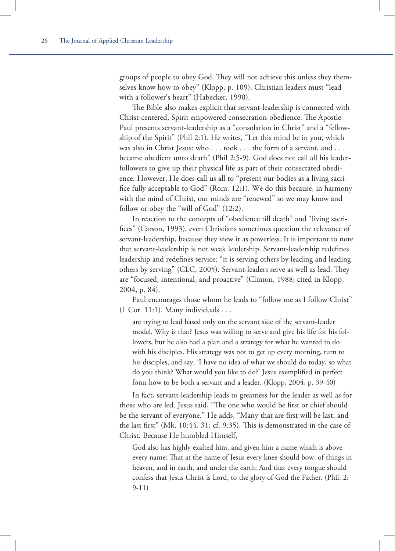groups of people to obey God. They will not achieve this unless they themselves know how to obey" (Klopp, p. 109). Christian leaders must "lead with a follower's heart" (Habecker, 1990).

The Bible also makes explicit that servant-leadership is connected with Christ-centered, Spirit empowered consecration-obedience. The Apostle Paul presents servant-leadership as a "consolation in Christ" and a "fellowship of the Spirit" (Phil 2:1). He writes, "Let this mind be in you, which was also in Christ Jesus: who . . . took . . . the form of a servant, and . . . became obedient unto death" (Phil 2:5-9). God does not call all his leaderfollowers to give up their physical life as part of their consecrated obedience. However, He does call us all to "present our bodies as a living sacrifice fully acceptable to God" (Rom. 12:1). We do this because, in harmony with the mind of Christ, our minds are "renewed" so we may know and follow or obey the "will of God" (12:2).

In reaction to the concepts of "obedience till death" and "living sacrifices" (Carson, 1993), even Christians sometimes question the relevance of servant-leadership, because they view it as powerless. It is important to note that servant-leadership is not weak leadership. Servant-leadership redefines leadership and redefines service: "it is serving others by leading and leading others by serving" (CLC, 2005). Servant-leaders serve as well as lead. They are "focused, intentional, and proactive" (Clinton, 1988; cited in Klopp, 2004, p. 84).

Paul encourages those whom he leads to "follow me as I follow Christ" (1 Cor. 11:1). Many individuals . . .

are trying to lead based only on the servant side of the servant-leader model. Why is that? Jesus was willing to serve and give his life for his followers, but he also had a plan and a strategy for what he wanted to do with his disciples. His strategy was not to get up every morning, turn to his disciples, and say, 'I have no idea of what we should do today, so what do you think? What would you like to do?' Jesus exemplified in perfect form how to be both a servant and a leader. (Klopp, 2004, p. 39-40)

In fact, servant-leadership leads to greatness for the leader as well as for those who are led. Jesus said, "The one who would be first or chief should be the servant of everyone." He adds, "Many that are first will be last, and the last first" (Mk.  $10:44$ ,  $31$ ; cf.  $9:35$ ). This is demonstrated in the case of Christ. Because He humbled Himself,

God also has highly exalted him, and given him a name which is above every name: That at the name of Jesus every knee should bow, of things in heaven, and in earth, and under the earth; And that every tongue should confess that Jesus Christ is Lord, to the glory of God the Father. (Phil. 2: 9-11)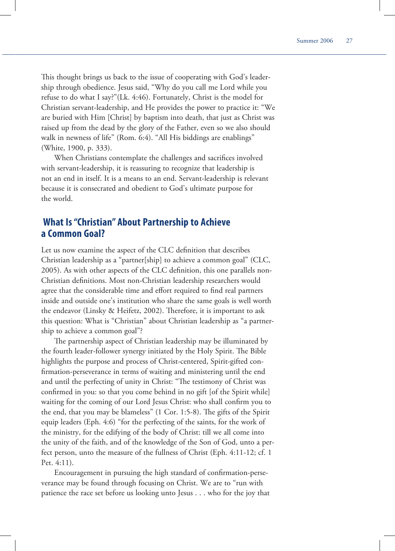This thought brings us back to the issue of cooperating with God's leadership through obedience. Jesus said, "Why do you call me Lord while you refuse to do what I say?"(Lk. 4:46). Fortunately, Christ is the model for Christian servant-leadership, and He provides the power to practice it: "We are buried with Him [Christ] by baptism into death, that just as Christ was raised up from the dead by the glory of the Father, even so we also should walk in newness of life" (Rom. 6:4). "All His biddings are enablings" (White, 1900, p. 333).

When Christians contemplate the challenges and sacrifices involved with servant-leadership, it is reassuring to recognize that leadership is not an end in itself. It is a means to an end. Servant-leadership is relevant because it is consecrated and obedient to God's ultimate purpose for the world.

# **What Is "Christian" About Partnership to Achieve a Common Goal?**

Let us now examine the aspect of the CLC definition that describes Christian leadership as a "partner[ship] to achieve a common goal" (CLC, 2005). As with other aspects of the CLC definition, this one parallels non-Christian definitions. Most non-Christian leadership researchers would agree that the considerable time and effort required to find real partners inside and outside one's institution who share the same goals is well worth the endeavor (Linsky & Heifetz, 2002). Therefore, it is important to ask this question: What is "Christian" about Christian leadership as "a partnership to achieve a common goal"?

The partnership aspect of Christian leadership may be illuminated by the fourth leader-follower synergy initiated by the Holy Spirit. The Bible highlights the purpose and process of Christ-centered, Spirit-gifted confirmation-perseverance in terms of waiting and ministering until the end and until the perfecting of unity in Christ: "The testimony of Christ was confirmed in you: so that you come behind in no gift [of the Spirit while] waiting for the coming of our Lord Jesus Christ: who shall confirm you to the end, that you may be blameless"  $(1 \text{ Cor. } 1:5-8)$ . The gifts of the Spirit equip leaders (Eph. 4:6) "for the perfecting of the saints, for the work of the ministry, for the edifying of the body of Christ: till we all come into the unity of the faith, and of the knowledge of the Son of God, unto a perfect person, unto the measure of the fullness of Christ (Eph. 4:11-12; cf. 1 Pet. 4:11).

Encouragement in pursuing the high standard of confirmation-perseverance may be found through focusing on Christ. We are to "run with patience the race set before us looking unto Jesus . . . who for the joy that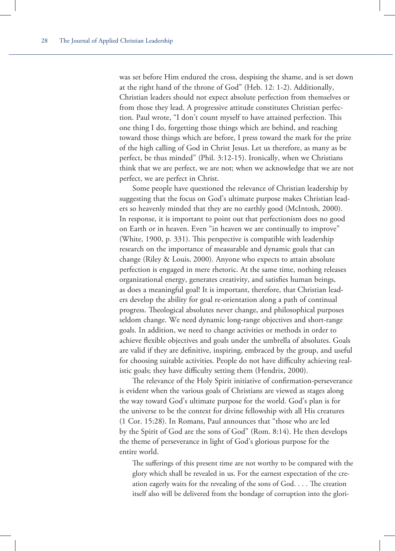was set before Him endured the cross, despising the shame, and is set down at the right hand of the throne of God" (Heb. 12: 1-2). Additionally, Christian leaders should not expect absolute perfection from themselves or from those they lead. A progressive attitude constitutes Christian perfection. Paul wrote, "I don't count myself to have attained perfection. This one thing I do, forgetting those things which are behind, and reaching toward those things which are before, I press toward the mark for the prize of the high calling of God in Christ Jesus. Let us therefore, as many as be perfect, be thus minded" (Phil. 3:12-15). Ironically, when we Christians think that we are perfect, we are not; when we acknowledge that we are not perfect, we are perfect in Christ.

Some people have questioned the relevance of Christian leadership by suggesting that the focus on God's ultimate purpose makes Christian leaders so heavenly minded that they are no earthly good (McIntosh, 2000). In response, it is important to point out that perfectionism does no good on Earth or in heaven. Even "in heaven we are continually to improve" (White, 1900, p. 331). This perspective is compatible with leadership research on the importance of measurable and dynamic goals that can change (Riley & Louis, 2000). Anyone who expects to attain absolute perfection is engaged in mere rhetoric. At the same time, nothing releases organizational energy, generates creativity, and satisfies human beings, as does a meaningful goal! It is important, therefore, that Christian leaders develop the ability for goal re-orientation along a path of continual progress. Theological absolutes never change, and philosophical purposes seldom change. We need dynamic long-range objectives and short-range goals. In addition, we need to change activities or methods in order to achieve flexible objectives and goals under the umbrella of absolutes. Goals are valid if they are definitive, inspiring, embraced by the group, and useful for choosing suitable activities. People do not have difficulty achieving realistic goals; they have difficulty setting them (Hendrix, 2000).

The relevance of the Holy Spirit initiative of confirmation-perseverance is evident when the various goals of Christians are viewed as stages along the way toward God's ultimate purpose for the world. God's plan is for the universe to be the context for divine fellowship with all His creatures (1 Cor. 15:28). In Romans, Paul announces that "those who are led by the Spirit of God are the sons of God" (Rom. 8:14). He then develops the theme of perseverance in light of God's glorious purpose for the entire world.

The sufferings of this present time are not worthy to be compared with the glory which shall be revealed in us. For the earnest expectation of the creation eagerly waits for the revealing of the sons of  $God. \ldots$  The creation itself also will be delivered from the bondage of corruption into the glori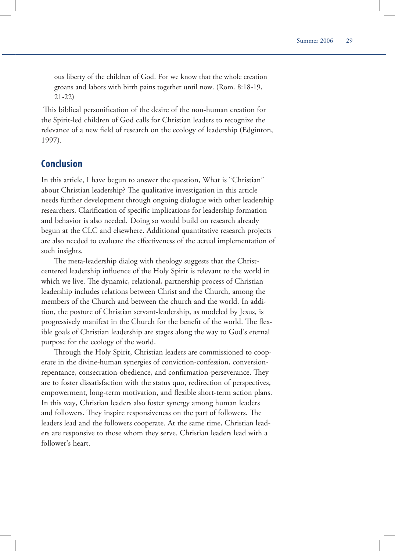ous liberty of the children of God. For we know that the whole creation groans and labors with birth pains together until now. (Rom. 8:18-19, 21-22)

This biblical personification of the desire of the non-human creation for the Spirit-led children of God calls for Christian leaders to recognize the relevance of a new field of research on the ecology of leadership (Edginton, 1997).

### **Conclusion**

In this article, I have begun to answer the question, What is "Christian" about Christian leadership? The qualitative investigation in this article needs further development through ongoing dialogue with other leadership researchers. Clarification of specific implications for leadership formation and behavior is also needed. Doing so would build on research already begun at the CLC and elsewhere. Additional quantitative research projects are also needed to evaluate the effectiveness of the actual implementation of such insights.

The meta-leadership dialog with theology suggests that the Christcentered leadership influence of the Holy Spirit is relevant to the world in which we live. The dynamic, relational, partnership process of Christian leadership includes relations between Christ and the Church, among the members of the Church and between the church and the world. In addition, the posture of Christian servant-leadership, as modeled by Jesus, is progressively manifest in the Church for the benefit of the world. The flexible goals of Christian leadership are stages along the way to God's eternal purpose for the ecology of the world.

Through the Holy Spirit, Christian leaders are commissioned to cooperate in the divine-human synergies of conviction-confession, conversionrepentance, consecration-obedience, and confirmation-perseverance. They are to foster dissatisfaction with the status quo, redirection of perspectives, empowerment, long-term motivation, and flexible short-term action plans. In this way, Christian leaders also foster synergy among human leaders and followers. They inspire responsiveness on the part of followers. The leaders lead and the followers cooperate. At the same time, Christian leaders are responsive to those whom they serve. Christian leaders lead with a follower's heart.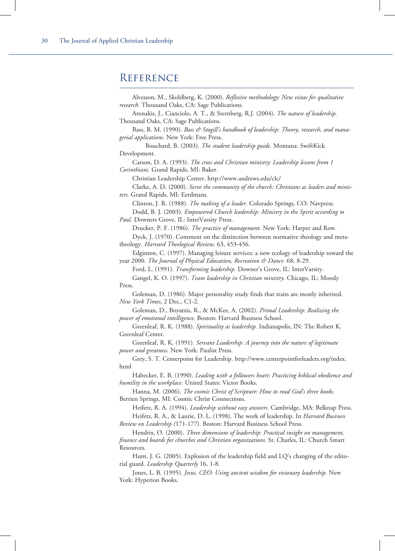# **REFERENCE**

| Alvesson, M., Skoldberg, K. (2000). Reflexive methodology: New vistas for qualitative                                                                |
|------------------------------------------------------------------------------------------------------------------------------------------------------|
| research. Thousand Oaks, CA: Sage Publications.<br>Atonakis, J., Cianciolo, A. T., & Sternberg, R.J. (2004). The nature of leadership.               |
| Thousand Oaks, CA: Sage Publications.                                                                                                                |
| Bass, B. M. (1990). Bass & Stogill's handbook of leadership: Theory, research, and mana-                                                             |
| gerial applications. New York: Free Press.                                                                                                           |
| Bouchard, B. (2003). The student leadership guide. Montana: SwiftKick                                                                                |
| Development.                                                                                                                                         |
| Carson, D. A. (1993). The cross and Christian ministry: Leadership lessons from 1<br>Corinthians. Grand Rapids, MI: Baker.                           |
| Christian Leadership Center. http://www.andrews.edu/clc/                                                                                             |
| Clarke, A. D. (2000). Serve the community of the church: Christians as leaders and minis-<br>ters. Grand Rapids, MI: Eerdmans.                       |
| Clinton, J. R. (1988). The making of a leader. Colorado Springs, CO: Navpress.                                                                       |
| Dodd, B. J. (2003). Empowered Church leadership: Ministry in the Spirit according to                                                                 |
| Paul. Downers Grove, IL: InterVarsity Press.                                                                                                         |
| Drucker, P. F. (1986). The practice of management. New York: Harper and Row.                                                                         |
| Dyck, J. (1970). Comment on the distinction between normative theology and meta-                                                                     |
| theology. Harvard Theological Review, 63, 453-456.                                                                                                   |
| Edginton, C. (1997). Managing leisure services: a new ecology of leadership toward the                                                               |
| year 2000. The Journal of Physical Education, Recreation & Dance. 68, 8-29.                                                                          |
| Ford, L. (1991). Transforming leadership. Downer's Grove, IL: InterVarsity.                                                                          |
| Gangel, K. O. (1997). Team leadership in Christian ministry. Chicago, IL: Moody                                                                      |
| Press.                                                                                                                                               |
| Goleman, D. (1986). Major personality study finds that traits are mostly inherited.<br>New York Times, 2 Dec., C1-2.                                 |
| Goleman, D., Boyatzis, R., & McKee, A. (2002). Primal Leadership: Realizing the<br>power of emotional intelligence. Boston: Harvard Business School. |
| Greenleaf, R. K. (1988). Spirituality as leadership. Indianapolis, IN: The Robert K.                                                                 |
| Greenleaf Center.                                                                                                                                    |
| Greenleaf, R. K. (1991). Servant Leadership: A journey into the nature of legitimate<br>power and greatness. New York: Paulist Press.                |
| Grey, S. T. Centerpoint for Leadership. http://www.centerpointforleaders.org/index.                                                                  |
| html                                                                                                                                                 |
| Habecker, E. B. (1990). Leading with a followers heart: Practicing biblical obedience and<br>humility in the workplace. United States: Victor Books. |
| Hanna, M. (2006). The cosmic Christ of Scripture: How to read God's three books.                                                                     |
| Berrien Springs, MI: Cosmic Christ Connections.                                                                                                      |
| Heifetz, R. A. (1994). Leadership without easy answers. Cambridge, MA: Belknap Press.                                                                |
| Heifetz, R. A., & Laurie, D. L. (1998). The work of leadership. In Harvard Business                                                                  |
| Review on Leadership (171-177). Boston: Harvard Business School Press.                                                                               |
| Hendrix, O. (2000). Three dimensions of leadership: Practical insight on management,                                                                 |
| finance and boards for churches and Christian organizations. St. Charles, IL: Church Smart                                                           |
| Resources.                                                                                                                                           |
| Hunt, J. G. (2005). Explosion of the leadership field and LQ's changing of the edito-<br>rial guard. Leadership Quarterly 16, 1-8.                   |
| Jones, L. B. (1995). Jesus, CEO: Using ancient wisdom for visionary leadership. New                                                                  |
| York: Hyperion Books.                                                                                                                                |